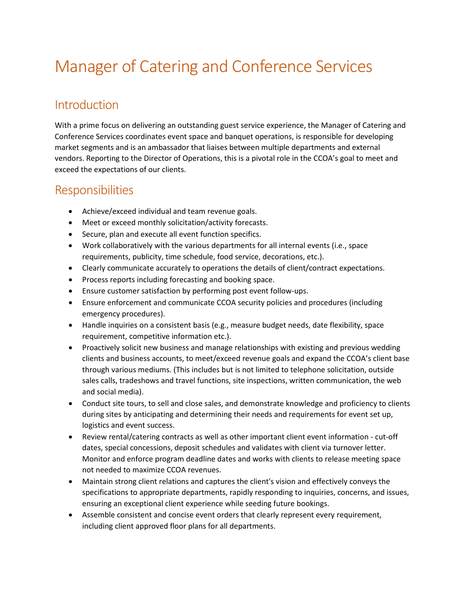# Manager of Catering and Conference Services

## Introduction

With a prime focus on delivering an outstanding guest service experience, the Manager of Catering and Conference Services coordinates event space and banquet operations, is responsible for developing market segments and is an ambassador that liaises between multiple departments and external vendors. Reporting to the Director of Operations, this is a pivotal role in the CCOA's goal to meet and exceed the expectations of our clients.

#### **Responsibilities**

- Achieve/exceed individual and team revenue goals.
- Meet or exceed monthly solicitation/activity forecasts.
- Secure, plan and execute all event function specifics.
- Work collaboratively with the various departments for all internal events (i.e., space requirements, publicity, time schedule, food service, decorations, etc.).
- Clearly communicate accurately to operations the details of client/contract expectations.
- Process reports including forecasting and booking space.
- Ensure customer satisfaction by performing post event follow-ups.
- Ensure enforcement and communicate CCOA security policies and procedures (including emergency procedures).
- Handle inquiries on a consistent basis (e.g., measure budget needs, date flexibility, space requirement, competitive information etc.).
- Proactively solicit new business and manage relationships with existing and previous wedding clients and business accounts, to meet/exceed revenue goals and expand the CCOA's client base through various mediums. (This includes but is not limited to telephone solicitation, outside sales calls, tradeshows and travel functions, site inspections, written communication, the web and social media).
- Conduct site tours, to sell and close sales, and demonstrate knowledge and proficiency to clients during sites by anticipating and determining their needs and requirements for event set up, logistics and event success.
- Review rental/catering contracts as well as other important client event information cut-off dates, special concessions, deposit schedules and validates with client via turnover letter. Monitor and enforce program deadline dates and works with clients to release meeting space not needed to maximize CCOA revenues.
- Maintain strong client relations and captures the client's vision and effectively conveys the specifications to appropriate departments, rapidly responding to inquiries, concerns, and issues, ensuring an exceptional client experience while seeding future bookings.
- Assemble consistent and concise event orders that clearly represent every requirement, including client approved floor plans for all departments.